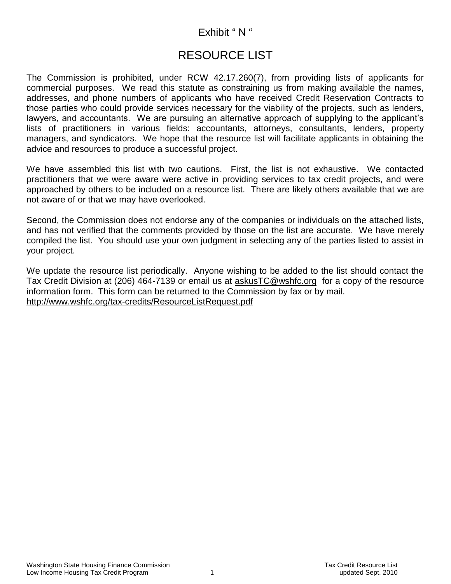# Exhibit " N "

# RESOURCE LIST

The Commission is prohibited, under RCW 42.17.260(7), from providing lists of applicants for commercial purposes. We read this statute as constraining us from making available the names, addresses, and phone numbers of applicants who have received Credit Reservation Contracts to those parties who could provide services necessary for the viability of the projects, such as lenders, lawyers, and accountants. We are pursuing an alternative approach of supplying to the applicant's lists of practitioners in various fields: accountants, attorneys, consultants, lenders, property managers, and syndicators. We hope that the resource list will facilitate applicants in obtaining the advice and resources to produce a successful project.

We have assembled this list with two cautions. First, the list is not exhaustive. We contacted practitioners that we were aware were active in providing services to tax credit projects, and were approached by others to be included on a resource list. There are likely others available that we are not aware of or that we may have overlooked.

Second, the Commission does not endorse any of the companies or individuals on the attached lists, and has not verified that the comments provided by those on the list are accurate. We have merely compiled the list. You should use your own judgment in selecting any of the parties listed to assist in your project.

We update the resource list periodically. Anyone wishing to be added to the list should contact the Tax Credit Division at (206) 464-7139 or email us at [askusTC@wshfc.org](mailto:askusTC@wshfc.org) for a copy of the resource information form. This form can be returned to the Commission by fax or by mail. <http://www.wshfc.org/tax-credits/ResourceListRequest.pdf>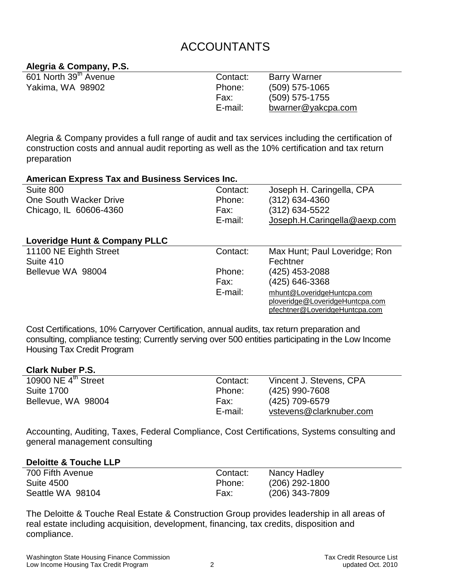# ACCOUNTANTS

## **Alegria & Company, P.S.**

| 601 North 39 <sup>th</sup> Avenue | Contact: | <b>Barry Warner</b> |
|-----------------------------------|----------|---------------------|
| Yakima, WA 98902                  | Phone:   | $(509)$ 575-1065    |
|                                   | Fax:     | $(509)$ 575-1755    |
|                                   | E-mail:  | bwarner@yakcpa.com  |

Alegria & Company provides a full range of audit and tax services including the certification of construction costs and annual audit reporting as well as the 10% certification and tax return preparation

| <b>American Express Tax and Business Services Inc.</b> |                                 |
|--------------------------------------------------------|---------------------------------|
| Contact:                                               | Joseph H. Caringella, CPA       |
| Phone:                                                 | $(312)$ 634-4360                |
| Fax:                                                   | (312) 634-5522                  |
| E-mail:                                                | Joseph.H.Caringella@aexp.com    |
|                                                        |                                 |
|                                                        |                                 |
| Contact:                                               | Max Hunt; Paul Loveridge; Ron   |
|                                                        | Fechtner                        |
| Phone:                                                 | (425) 453-2088                  |
| Fax:                                                   | (425) 646-3368                  |
| E-mail:                                                | mhunt@LoveridgeHuntcpa.com      |
|                                                        | ploveridge@LoveridgeHuntcpa.com |
|                                                        | pfechtner@LoveridgeHuntcpa.com  |
|                                                        |                                 |

Cost Certifications, 10% Carryover Certification, annual audits, tax return preparation and consulting, compliance testing; Currently serving over 500 entities participating in the Low Income Housing Tax Credit Program

#### **Clark Nuber P.S.**

| 10900 NE $4th$ Street | Contact: | Vincent J. Stevens, CPA |
|-----------------------|----------|-------------------------|
| <b>Suite 1700</b>     | Phone:   | (425) 990-7608          |
| Bellevue, WA 98004    | Fax:     | (425) 709-6579          |
|                       | E-mail:  | vstevens@clarknuber.com |

Accounting, Auditing, Taxes, Federal Compliance, Cost Certifications, Systems consulting and general management consulting

#### **Deloitte & Touche LLP**

| 700 Fifth Avenue  | Contact: | Nancy Hadley     |
|-------------------|----------|------------------|
| <b>Suite 4500</b> | Phone:   | $(206)$ 292-1800 |
| Seattle WA 98104  | Fax:     | (206) 343-7809   |

The Deloitte & Touche Real Estate & Construction Group provides leadership in all areas of real estate including acquisition, development, financing, tax credits, disposition and compliance.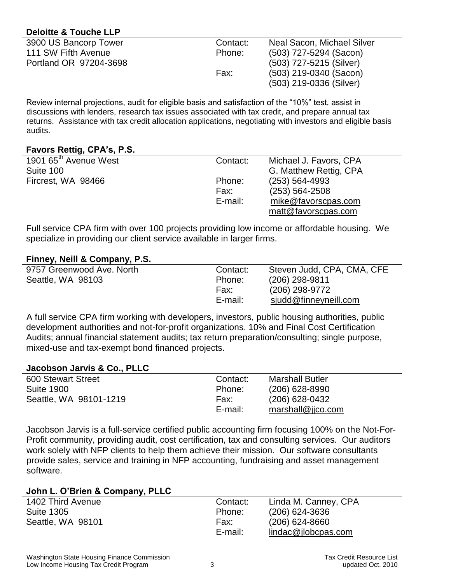## **Deloitte & Touche LLP**

| 3900 US Bancorp Tower  | Contact: | Neal Sacon, Michael Silver |
|------------------------|----------|----------------------------|
| 111 SW Fifth Avenue    | Phone:   | (503) 727-5294 (Sacon)     |
| Portland OR 97204-3698 |          | (503) 727-5215 (Silver)    |
|                        | Fax:     | $(503)$ 219-0340 (Sacon)   |
|                        |          | (503) 219-0336 (Silver)    |

Review internal projections, audit for eligible basis and satisfaction of the "10%" test, assist in discussions with lenders, research tax issues associated with tax credit, and prepare annual tax returns. Assistance with tax credit allocation applications, negotiating with investors and eligible basis audits.

## **Favors Rettig, CPA's, P.S.**

| . .                               |          |                        |
|-----------------------------------|----------|------------------------|
| 1901 65 <sup>th</sup> Avenue West | Contact: | Michael J. Favors, CPA |
| Suite 100                         |          | G. Matthew Rettig, CPA |
| Fircrest, WA 98466                | Phone:   | $(253) 564 - 4993$     |
|                                   | Fax:     | $(253) 564 - 2508$     |
|                                   | E-mail:  | mike@favorscpas.com    |
|                                   |          | matt@favorscpas.com    |
|                                   |          |                        |

Full service CPA firm with over 100 projects providing low income or affordable housing. We specialize in providing our client service available in larger firms.

## **Finney, Neill & Company, P.S.**

| 9757 Greenwood Ave. North | Contact: | Steven Judd, CPA, CMA, CFE |
|---------------------------|----------|----------------------------|
| Seattle, WA 98103         | Phone:   | $(206)$ 298-9811           |
|                           | Fax:     | (206) 298-9772             |
|                           | E-mail:  | sjudd@finneyneill.com      |

A full service CPA firm working with developers, investors, public housing authorities, public development authorities and not-for-profit organizations. 10% and Final Cost Certification Audits; annual financial statement audits; tax return preparation/consulting; single purpose, mixed-use and tax-exempt bond financed projects.

#### **Jacobson Jarvis & Co., PLLC**

| 600 Stewart Street     | Contact: | <b>Marshall Butler</b> |
|------------------------|----------|------------------------|
| <b>Suite 1900</b>      | Phone:   | $(206)$ 628-8990       |
| Seattle, WA 98101-1219 | Fax:     | (206) 628-0432         |
|                        | E-mail:  | marshall@ijco.com      |

Jacobson Jarvis is a full-service certified public accounting firm focusing 100% on the Not-For-Profit community, providing audit, cost certification, tax and consulting services. Our auditors work solely with NFP clients to help them achieve their mission. Our software consultants provide sales, service and training in NFP accounting, fundraising and asset management software.

## **John L. O'Brien & Company, PLLC**

| . .               |          |                      |
|-------------------|----------|----------------------|
| 1402 Third Avenue | Contact: | Linda M. Canney, CPA |
| <b>Suite 1305</b> | Phone:   | $(206)$ 624-3636     |
| Seattle, WA 98101 | Fax:     | $(206)$ 624-8660     |
|                   | E-mail:  | lindac@ilobepas.com  |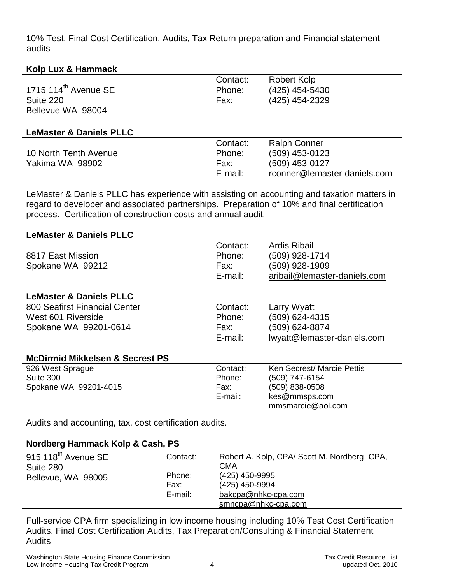10% Test, Final Cost Certification, Audits, Tax Return preparation and Financial statement audits

## **Kolp Lux & Hammack**

| 1715 114 <sup>th</sup> Avenue SE<br>Suite 220<br>Bellevue WA 98004 | Contact:<br>Phone:<br>Fax:            | <b>Robert Kolp</b><br>(425) 454-5430<br>(425) 454-2329                                  |
|--------------------------------------------------------------------|---------------------------------------|-----------------------------------------------------------------------------------------|
| <b>LeMaster &amp; Daniels PLLC</b>                                 |                                       |                                                                                         |
| 10 North Tenth Avenue<br>Yakima WA 98902                           | Contact:<br>Phone:<br>Fax:<br>E-mail: | <b>Ralph Conner</b><br>(509) 453-0123<br>(509) 453-0127<br>rconner@lemaster-daniels.com |

LeMaster & Daniels PLLC has experience with assisting on accounting and taxation matters in regard to developer and associated partnerships. Preparation of 10% and final certification process. Certification of construction costs and annual audit.

## **LeMaster & Daniels PLLC**

| 8817 East Mission<br>Spokane WA 99212                  | Contact:<br>Phone:<br>Fax:<br>E-mail: | Ardis Ribail<br>(509) 928-1714<br>(509) 928-1909<br>aribail@lemaster-daniels.com |
|--------------------------------------------------------|---------------------------------------|----------------------------------------------------------------------------------|
| <b>LeMaster &amp; Daniels PLLC</b>                     |                                       |                                                                                  |
| 800 Seafirst Financial Center                          | Contact:                              | Larry Wyatt                                                                      |
| West 601 Riverside                                     | Phone:                                | (509) 624-4315                                                                   |
| Spokane WA 99201-0614                                  | Fax:                                  | (509) 624-8874                                                                   |
|                                                        | E-mail:                               | lwyatt@lemaster-daniels.com                                                      |
| <b>McDirmid Mikkelsen &amp; Secrest PS</b>             |                                       |                                                                                  |
| 926 West Sprague                                       | Contact:                              | Ken Secrest/ Marcie Pettis                                                       |
| Suite 300                                              | Phone:                                | (509) 747-6154                                                                   |
| Spokane WA 99201-4015                                  | Fax:                                  | (509) 838-0508                                                                   |
|                                                        | E-mail:                               | kes@mmsps.com<br>mmsmarcie@aol.com                                               |
| Audits and accounting, tax, cost certification audits. |                                       |                                                                                  |

## **Nordberg Hammack Kolp & Cash, PS**

| $\overline{915}$ 118 <sup>th</sup> Avenue SE | Contact: | Robert A. Kolp, CPA/Scott M. Nordberg, CPA, |
|----------------------------------------------|----------|---------------------------------------------|
| Suite 280                                    |          | CMA                                         |
| Bellevue, WA 98005                           | Phone:   | (425) 450-9995                              |
|                                              | Fax:     | (425) 450-9994                              |
|                                              | E-mail:  | bakcpa@nhkc-cpa.com                         |
|                                              |          | smncpa@nhkc-cpa.com                         |

Full-service CPA firm specializing in low income housing including 10% Test Cost Certification Audits, Final Cost Certification Audits, Tax Preparation/Consulting & Financial Statement Audits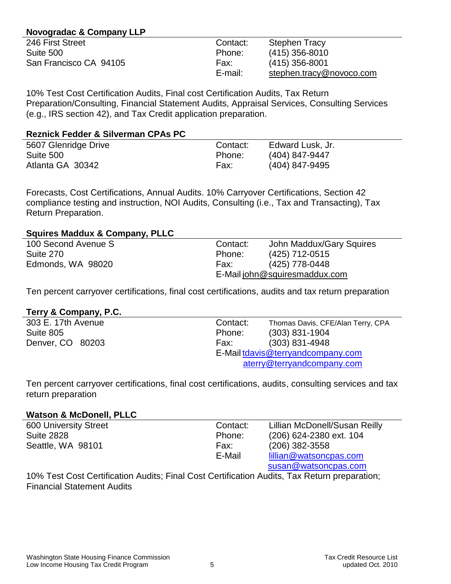## **Novogradac & Company LLP**

| Contact: | <b>Stephen Tracy</b>     |
|----------|--------------------------|
| Phone:   | $(415)$ 356-8010         |
| Fax:     | $(415)$ 356-8001         |
| E-mail:  | stephen.tracy@novoco.com |
|          |                          |

10% Test Cost Certification Audits, Final cost Certification Audits, Tax Return Preparation/Consulting, Financial Statement Audits, Appraisal Services, Consulting Services (e.g., IRS section 42), and Tax Credit application preparation.

| <b>Reznick Fedder &amp; Silverman CPAs PC</b> |          |                  |
|-----------------------------------------------|----------|------------------|
| 5607 Glenridge Drive                          | Contact: | Edward Lusk, Jr. |
| Suite 500                                     | Phone:   | (404) 847-9447   |
| Atlanta GA 30342                              | Fax:     | (404) 847-9495   |

Forecasts, Cost Certifications, Annual Audits. 10% Carryover Certifications, Section 42 compliance testing and instruction, NOI Audits, Consulting (i.e., Tax and Transacting), Tax Return Preparation.

## **Squires Maddux & Company, PLLC**

| 100 Second Avenue S | Contact: | John Maddux/Gary Squires      |
|---------------------|----------|-------------------------------|
| Suite 270           | Phone:   | (425) 712-0515                |
| Edmonds, WA 98020   | Fax:     | (425) 778-0448                |
|                     |          | E-Mail john@squiresmaddux.com |

Ten percent carryover certifications, final cost certifications, audits and tax return preparation

## **Terry & Company, P.C.**

| Contact:<br>Thomas Davis, CFE/Alan Terry, CPA |
|-----------------------------------------------|
| $(303)$ 831-1904<br>Phone:                    |
| $(303)$ 831-4948<br>Fax:                      |
| E-Mail tdavis@terryandcompany.com             |
| aterry@terryandcompany.com                    |
|                                               |

Ten percent carryover certifications, final cost certifications, audits, consulting services and tax return preparation

#### **Watson & McDonell, PLLC**

| <b>600 University Street</b> | Contact: | Lillian McDonell/Susan Reilly |
|------------------------------|----------|-------------------------------|
| <b>Suite 2828</b>            | Phone:   | (206) 624-2380 ext. 104       |
| Seattle, WA 98101            | Fax:     | $(206)$ 382-3558              |
|                              | E-Mail   | lillian@watsoncpas.com        |
|                              |          | susan@watsoncpas.com          |

10% Test Cost Certification Audits; Final Cost Certification Audits, Tax Return preparation; Financial Statement Audits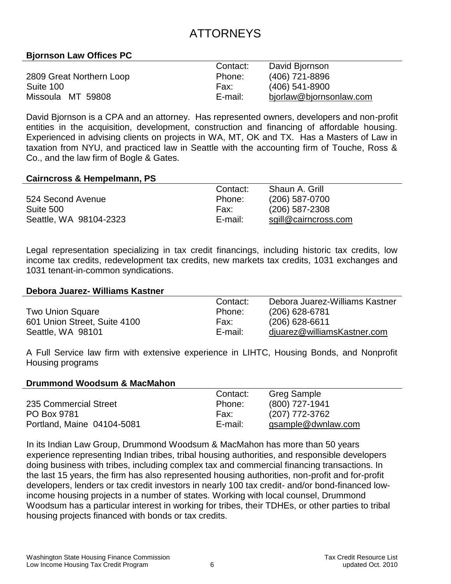# ATTORNEYS

## **Bjornson Law Offices PC**

|                          | Contact: | David Bjornson          |
|--------------------------|----------|-------------------------|
| 2809 Great Northern Loop | Phone:   | (406) 721-8896          |
| Suite 100                | Fax:     | $(406)$ 541-8900        |
| Missoula MT 59808        | E-mail:  | bjorlaw@bjornsonlaw.com |

David Bjornson is a CPA and an attorney. Has represented owners, developers and non-profit entities in the acquisition, development, construction and financing of affordable housing. Experienced in advising clients on projects in WA, MT, OK and TX. Has a Masters of Law in taxation from NYU, and practiced law in Seattle with the accounting firm of Touche, Ross & Co., and the law firm of Bogle & Gates.

#### **Cairncross & Hempelmann, PS**

|                        | Contact: | Shaun A. Grill       |
|------------------------|----------|----------------------|
| 524 Second Avenue      | Phone:   | $(206)$ 587-0700     |
| Suite 500              | Fax:     | $(206)$ 587-2308     |
| Seattle, WA 98104-2323 | E-mail:  | sgill@cairncross.com |

Legal representation specializing in tax credit financings, including historic tax credits, low income tax credits, redevelopment tax credits, new markets tax credits, 1031 exchanges and 1031 tenant-in-common syndications.

#### **Debora Juarez- Williams Kastner**

|                              | Contact: | Debora Juarez-Williams Kastner |
|------------------------------|----------|--------------------------------|
| <b>Two Union Square</b>      | Phone:   | $(206)$ 628-6781               |
| 601 Union Street, Suite 4100 | Fax:     | $(206)$ 628-6611               |
| Seattle, WA 98101            | E-mail:  | djuarez@williamsKastner.com    |

A Full Service law firm with extensive experience in LIHTC, Housing Bonds, and Nonprofit Housing programs

#### **Drummond Woodsum & MacMahon**

|                            | Contact: | Greg Sample        |
|----------------------------|----------|--------------------|
| 235 Commercial Street      | Phone:   | (800) 727-1941     |
| PO Box 9781                | Fax:     | (207) 772-3762     |
| Portland, Maine 04104-5081 | E-mail:  | gsample@dwnlaw.com |

In its Indian Law Group, Drummond Woodsum & MacMahon has more than 50 years experience representing Indian tribes, tribal housing authorities, and responsible developers doing business with tribes, including complex tax and commercial financing transactions. In the last 15 years, the firm has also represented housing authorities, non-profit and for-profit developers, lenders or tax credit investors in nearly 100 tax credit- and/or bond-financed lowincome housing projects in a number of states. Working with local counsel, Drummond Woodsum has a particular interest in working for tribes, their TDHEs, or other parties to tribal housing projects financed with bonds or tax credits.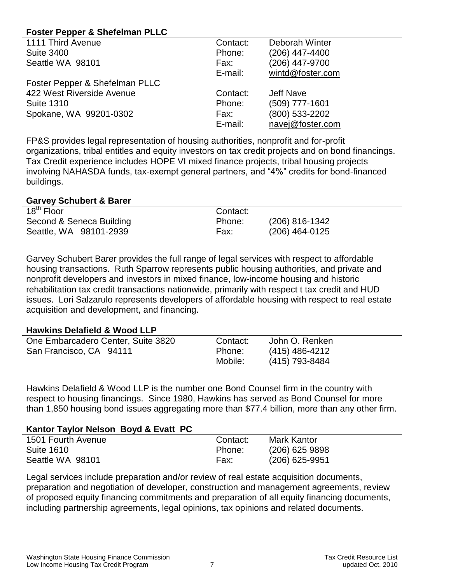## **Foster Pepper & Shefelman PLLC**

| 1111 Third Avenue              | Contact: | Deborah Winter   |
|--------------------------------|----------|------------------|
| <b>Suite 3400</b>              | Phone:   | (206) 447-4400   |
| Seattle WA 98101               | Fax:     | (206) 447-9700   |
|                                | E-mail:  | wintd@foster.com |
| Foster Pepper & Shefelman PLLC |          |                  |
| 422 West Riverside Avenue      | Contact: | <b>Jeff Nave</b> |
| <b>Suite 1310</b>              | Phone:   | (509) 777-1601   |
| Spokane, WA 99201-0302         | Fax:     | (800) 533-2202   |
|                                | E-mail:  | navej@foster.com |

FP&S provides legal representation of housing authorities, nonprofit and for-profit organizations, tribal entitles and equity investors on tax credit projects and on bond financings. Tax Credit experience includes HOPE VI mixed finance projects, tribal housing projects involving NAHASDA funds, tax-exempt general partners, and "4%" credits for bond-financed buildings.

#### **Garvey Schubert & Barer**

| 18 <sup>th</sup> Floor   | Contact: |                  |
|--------------------------|----------|------------------|
| Second & Seneca Building | Phone:   | $(206)$ 816-1342 |
| Seattle, WA 98101-2939   | Fax:     | $(206)$ 464-0125 |

Garvey Schubert Barer provides the full range of legal services with respect to affordable housing transactions. Ruth Sparrow represents public housing authorities, and private and nonprofit developers and investors in mixed finance, low-income housing and historic rehabilitation tax credit transactions nationwide, primarily with respect t tax credit and HUD issues. Lori Salzarulo represents developers of affordable housing with respect to real estate acquisition and development, and financing.

## **Hawkins Delafield & Wood LLP**

| One Embarcadero Center, Suite 3820 | Contact: | John O. Renken |
|------------------------------------|----------|----------------|
| San Francisco, CA 94111            | Phone:   | (415) 486-4212 |
|                                    | Mobile:  | (415) 793-8484 |

Hawkins Delafield & Wood LLP is the number one Bond Counsel firm in the country with respect to housing financings. Since 1980, Hawkins has served as Bond Counsel for more than 1,850 housing bond issues aggregating more than \$77.4 billion, more than any other firm.

## **Kantor Taylor Nelson Boyd & Evatt PC**

| 1501 Fourth Avenue | Contact: | Mark Kantor      |  |
|--------------------|----------|------------------|--|
| <b>Suite 1610</b>  | Phone:   | $(206)$ 625 9898 |  |
| Seattle WA 98101   | Fax:     | $(206)$ 625-9951 |  |

Legal services include preparation and/or review of real estate acquisition documents, preparation and negotiation of developer, construction and management agreements, review of proposed equity financing commitments and preparation of all equity financing documents, including partnership agreements, legal opinions, tax opinions and related documents.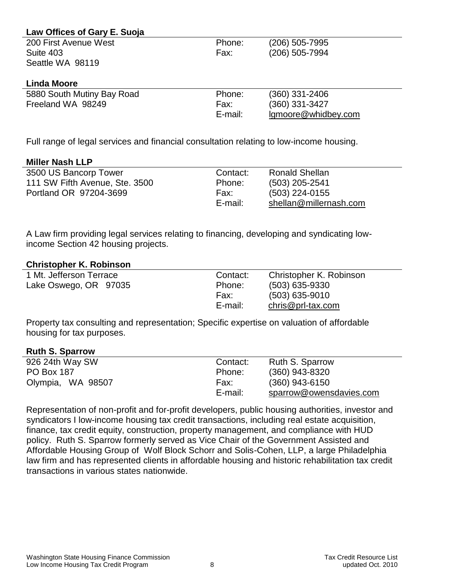| Law Offices of Gary E. Suoja |         |                     |
|------------------------------|---------|---------------------|
| 200 First Avenue West        | Phone:  | (206) 505-7995      |
| Suite 403                    | Fax:    | (206) 505-7994      |
| Seattle WA 98119             |         |                     |
|                              |         |                     |
| <b>Linda Moore</b>           |         |                     |
| 5880 South Mutiny Bay Road   | Phone:  | (360) 331-2406      |
| Freeland WA 98249            | Fax:    | (360) 331-3427      |
|                              | E-mail: | Igmoore@whidbey.com |

Full range of legal services and financial consultation relating to low-income housing.

## **Miller Nash LLP**

| 3500 US Bancorp Tower          | Contact: | <b>Ronald Shellan</b>  |
|--------------------------------|----------|------------------------|
| 111 SW Fifth Avenue, Ste. 3500 | Phone:   | $(503)$ 205-2541       |
| Portland OR 97204-3699         | Fax:     | $(503)$ 224-0155       |
|                                | E-mail:  | shellan@millernash.com |

A Law firm providing legal services relating to financing, developing and syndicating lowincome Section 42 housing projects.

## **Christopher K. Robinson**

| Contact: | Christopher K. Robinson |
|----------|-------------------------|
| Phone:   | $(503)$ 635-9330        |
| Fax:     | $(503)$ 635-9010        |
| E-mail:  | $chris@prl-tax.com$     |
|          |                         |

Property tax consulting and representation; Specific expertise on valuation of affordable housing for tax purposes.

## **Ruth S. Sparrow**

| 926 24th Way SW   | Contact: | Ruth S. Sparrow         |
|-------------------|----------|-------------------------|
| <b>PO Box 187</b> | Phone:   | $(360)$ 943-8320        |
| Olympia, WA 98507 | Fax:     | $(360)$ 943-6150        |
|                   | E-mail:  | sparrow@owensdavies.com |

Representation of non-profit and for-profit developers, public housing authorities, investor and syndicators I low-income housing tax credit transactions, including real estate acquisition, finance, tax credit equity, construction, property management, and compliance with HUD policy. Ruth S. Sparrow formerly served as Vice Chair of the Government Assisted and Affordable Housing Group of Wolf Block Schorr and Solis-Cohen, LLP, a large Philadelphia law firm and has represented clients in affordable housing and historic rehabilitation tax credit transactions in various states nationwide.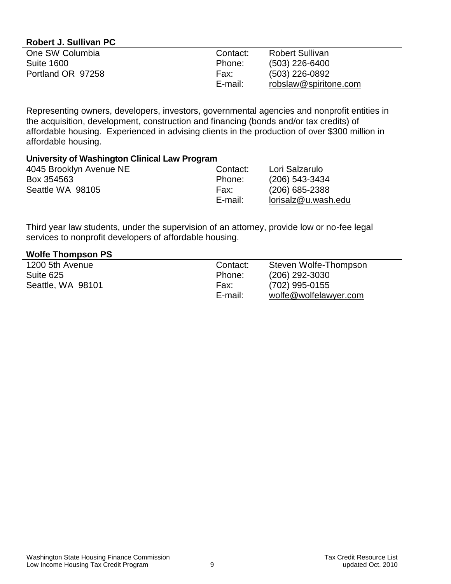## **Robert J. Sullivan PC**

| One SW Columbia   | Contact: | <b>Robert Sullivan</b> |
|-------------------|----------|------------------------|
| <b>Suite 1600</b> | Phone:   | $(503)$ 226-6400       |
| Portland OR 97258 | Fax:     | (503) 226-0892         |
|                   | E-mail:  | robslaw@spiritone.com  |

Representing owners, developers, investors, governmental agencies and nonprofit entities in the acquisition, development, construction and financing (bonds and/or tax credits) of affordable housing. Experienced in advising clients in the production of over \$300 million in affordable housing.

#### **University of Washington Clinical Law Program**

| 4045 Brooklyn Avenue NE | Contact: | Lori Salzarulo      |
|-------------------------|----------|---------------------|
| Box 354563              | Phone:   | $(206)$ 543-3434    |
| Seattle WA 98105        | Fax:     | (206) 685-2388      |
|                         | E-mail:  | lorisalz@u.wash.edu |

Third year law students, under the supervision of an attorney, provide low or no-fee legal services to nonprofit developers of affordable housing.

#### **Wolfe Thompson PS**

| 1200 5th Avenue   | Contact: | Steven Wolfe-Thompson |
|-------------------|----------|-----------------------|
| Suite 625         | Phone:   | (206) 292-3030        |
| Seattle, WA 98101 | Fax:     | (702) 995-0155        |
|                   | E-mail:  | wolfe@wolfelawyer.com |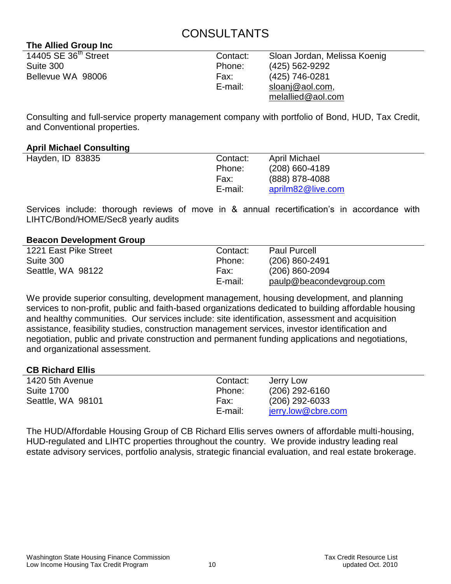# CONSULTANTS

## **The Allied Group Inc**

| 14405 SE 36 <sup>th</sup> Street | Contact: | Sloan Jordan, Melissa Koenig |
|----------------------------------|----------|------------------------------|
| Suite 300                        | Phone:   | (425) 562-9292               |
| Bellevue WA 98006                | Fax:     | (425) 746-0281               |
|                                  | E-mail:  | sloanj@aol.com,              |
|                                  |          | melallied@aol.com            |

Consulting and full-service property management company with portfolio of Bond, HUD, Tax Credit, and Conventional properties.

## **April Michael Consulting**

| Hayden, ID 83835 | Contact: | <b>April Michael</b> |
|------------------|----------|----------------------|
|                  | Phone:   | $(208)$ 660-4189     |
|                  | Fax:     | (888) 878-4088       |
|                  | E-mail:  | aprilm82@live.com    |

Services include: thorough reviews of move in & annual recertification's in accordance with LIHTC/Bond/HOME/Sec8 yearly audits

## **Beacon Development Group**

| 1221 East Pike Street | Contact: | <b>Paul Purcell</b>      |  |
|-----------------------|----------|--------------------------|--|
| Suite 300             | Phone:   | $(206) 860 - 2491$       |  |
| Seattle, WA 98122     | Fax:     | (206) 860-2094           |  |
|                       | E-mail:  | paulp@beacondevgroup.com |  |

We provide superior consulting, development management, housing development, and planning services to non-profit, public and faith-based organizations dedicated to building affordable housing and healthy communities. Our services include: site identification, assessment and acquisition assistance, feasibility studies, construction management services, investor identification and negotiation, public and private construction and permanent funding applications and negotiations, and organizational assessment.

## **CB Richard Ellis**

| 1420 5th Avenue   | Contact: | Jerry Low          |
|-------------------|----------|--------------------|
| <b>Suite 1700</b> | Phone:   | $(206)$ 292-6160   |
| Seattle, WA 98101 | Fax:     | $(206)$ 292-6033   |
|                   | E-mail:  | jerry.low@cbre.com |

The HUD/Affordable Housing Group of CB Richard Ellis serves owners of affordable multi-housing, HUD-regulated and LIHTC properties throughout the country. We provide industry leading real estate advisory services, portfolio analysis, strategic financial evaluation, and real estate brokerage.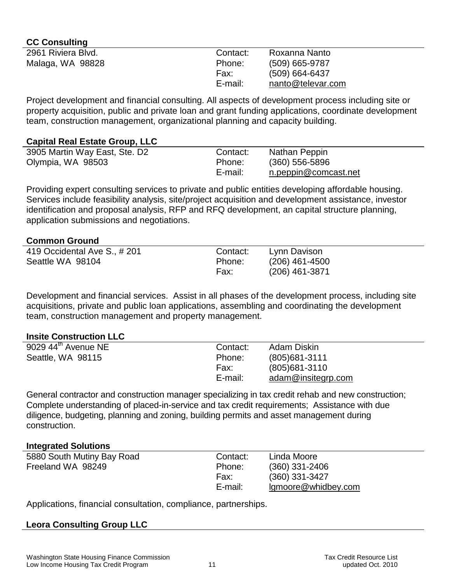| <b>CC Consulting</b> |          |                   |
|----------------------|----------|-------------------|
| 2961 Riviera Blvd.   | Contact: | Roxanna Nanto     |
| Malaga, WA 98828     | Phone:   | (509) 665-9787    |
|                      | Fax:     | $(509)$ 664-6437  |
|                      | E-mail:  | nanto@televar.com |

Project development and financial consulting. All aspects of development process including site or property acquisition, public and private loan and grant funding applications, coordinate development team, construction management, organizational planning and capacity building.

## **Capital Real Estate Group, LLC**

| 3905 Martin Way East, Ste. D2 | Contact: | Nathan Peppin        |
|-------------------------------|----------|----------------------|
| Olympia, WA 98503             | Phone:   | $(360)$ 556-5896     |
|                               | E-mail:  | n.peppin@comcast.net |

Providing expert consulting services to private and public entities developing affordable housing. Services include feasibility analysis, site/project acquisition and development assistance, investor identification and proposal analysis, RFP and RFQ development, an capital structure planning, application submissions and negotiations.

## **Common Ground**

| 419 Occidental Ave S., # 201 | Contact: | Lynn Davison     |
|------------------------------|----------|------------------|
| Seattle WA 98104             | Phone:   | $(206)$ 461-4500 |
|                              | Fax:     | (206) 461-3871   |

Development and financial services. Assist in all phases of the development process, including site acquisitions, private and public loan applications, assembling and coordinating the development team, construction management and property management.

#### **Insite Construction LLC**

| 9029 $44^{\text{th}}$ Avenue NE | Contact: | Adam Diskin        |
|---------------------------------|----------|--------------------|
| Seattle, WA 98115               | Phone:   | $(805)681 - 3111$  |
|                                 | Fax:     | $(805)681 - 3110$  |
|                                 | E-mail:  | adam@insitegrp.com |

General contractor and construction manager specializing in tax credit rehab and new construction; Complete understanding of placed-in-service and tax credit requirements; Assistance with due diligence, budgeting, planning and zoning, building permits and asset management during construction.

#### **Integrated Solutions**

| 5880 South Mutiny Bay Road | Contact: | Linda Moore         |
|----------------------------|----------|---------------------|
| Freeland WA 98249          | Phone:   | $(360)$ 331-2406    |
|                            | Fax:     | $(360)$ 331-3427    |
|                            | E-mail:  | Igmoore@whidbey.com |
|                            |          |                     |

Applications, financial consultation, compliance, partnerships.

## **Leora Consulting Group LLC**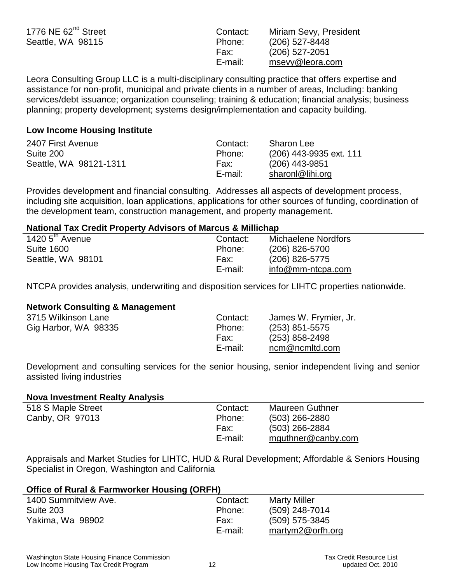| 1776 NE $62nd$ Street | Contact: | Miriam Sevy, President |
|-----------------------|----------|------------------------|
| Seattle, WA 98115     | Phone:   | $(206)$ 527-8448       |
|                       | Fax:     | (206) 527-2051         |
|                       | E-mail:  | msevy@leora.com        |

Leora Consulting Group LLC is a multi-disciplinary consulting practice that offers expertise and assistance for non-profit, municipal and private clients in a number of areas, Including: banking services/debt issuance; organization counseling; training & education; financial analysis; business planning; property development; systems design/implementation and capacity building.

### **Low Income Housing Institute**

| 2407 First Avenue      | Contact: | Sharon Lee              |
|------------------------|----------|-------------------------|
| Suite 200              | Phone:   | (206) 443-9935 ext. 111 |
| Seattle, WA 98121-1311 | Fax:     | $(206)$ 443-9851        |
|                        | E-mail:  | sharonl@lihi.org        |

Provides development and financial consulting. Addresses all aspects of development process, including site acquisition, loan applications, applications for other sources of funding, coordination of the development team, construction management, and property management.

## **National Tax Credit Property Advisors of Marcus & Millichap**

| 1420 $5^{\text{th}}$ Avenue | Contact: | Michaelene Nordfors |
|-----------------------------|----------|---------------------|
| <b>Suite 1600</b>           | Phone:   | (206) 826-5700      |
| Seattle, WA 98101           | Fax:     | $(206)$ 826-5775    |
|                             | E-mail:  | info@mm-ntcpa.com   |
|                             |          |                     |

NTCPA provides analysis, underwriting and disposition services for LIHTC properties nationwide.

#### **Network Consulting & Management**

| 3715 Wilkinson Lane  | Contact: | James W. Frymier, Jr. |
|----------------------|----------|-----------------------|
| Gig Harbor, WA 98335 | Phone:   | $(253)$ 851-5575      |
|                      | Fax:     | $(253)$ 858-2498      |
|                      | E-mail:  | ncm@ncmltd.com        |
|                      |          |                       |

Development and consulting services for the senior housing, senior independent living and senior assisted living industries

#### **Nova Investment Realty Analysis**

| Contact: | <b>Maureen Guthner</b> |
|----------|------------------------|
| Phone:   | $(503)$ 266-2880       |
| Fax:     | $(503)$ 266-2884       |
| E-mail:  | mguthner@canby.com     |
|          |                        |

Appraisals and Market Studies for LIHTC, HUD & Rural Development; Affordable & Seniors Housing Specialist in Oregon, Washington and California

## **Office of Rural & Farmworker Housing (ORFH)**

| 1400 Summitview Ave. | Contact: | <b>Marty Miller</b> |
|----------------------|----------|---------------------|
| Suite 203            | Phone:   | (509) 248-7014      |
| Yakima, Wa 98902     | Fax:     | (509) 575-3845      |
|                      | E-mail:  | martym2@orfh.org    |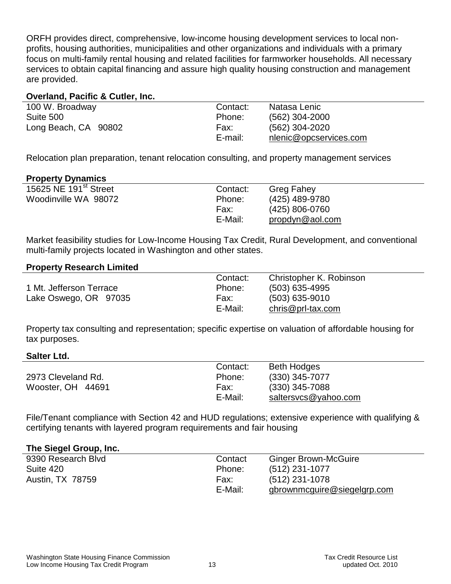ORFH provides direct, comprehensive, low-income housing development services to local nonprofits, housing authorities, municipalities and other organizations and individuals with a primary focus on multi-family rental housing and related facilities for farmworker households. All necessary services to obtain capital financing and assure high quality housing construction and management are provided.

#### **Overland, Pacific & Cutler, Inc.**

| 100 W. Broadway      | Contact: | Natasa Lenic           |
|----------------------|----------|------------------------|
| Suite 500            | Phone:   | (562) 304-2000         |
| Long Beach, CA 90802 | Fax:     | (562) 304-2020         |
|                      | E-mail:  | nlenic@opcservices.com |

Relocation plan preparation, tenant relocation consulting, and property management services

## **Property Dynamics**

| 15625 NE 191 <sup>st</sup> Street | Contact: | <b>Greg Fahey</b> |
|-----------------------------------|----------|-------------------|
| Woodinville WA 98072              | Phone:   | (425) 489-9780    |
|                                   | Fax:     | (425) 806-0760    |
|                                   | E-Mail:  | propdyn@aol.com   |

Market feasibility studies for Low-Income Housing Tax Credit, Rural Development, and conventional multi-family projects located in Washington and other states.

#### **Property Research Limited**

|                         | Contact: | Christopher K. Robinson |
|-------------------------|----------|-------------------------|
| 1 Mt. Jefferson Terrace | Phone:   | $(503)$ 635-4995        |
| Lake Oswego, OR 97035   | Fax:     | $(503)$ 635-9010        |
|                         | E-Mail:  | $chris@prl-tax.com$     |

Property tax consulting and representation; specific expertise on valuation of affordable housing for tax purposes.

#### **Salter Ltd.**

|                    | Contact: | <b>Beth Hodges</b>   |
|--------------------|----------|----------------------|
| 2973 Cleveland Rd. | Phone:   | $(330)$ 345-7077     |
| Wooster, OH 44691  | Fax:     | $(330)$ 345-7088     |
|                    | E-Mail:  | saltersvcs@yahoo.com |

File/Tenant compliance with Section 42 and HUD regulations; extensive experience with qualifying & certifying tenants with layered program requirements and fair housing

#### **The Siegel Group, Inc.**

| Contact | <b>Ginger Brown-McGuire</b> |
|---------|-----------------------------|
| Phone:  | $(512)$ 231-1077            |
| Fax:    | (512) 231-1078              |
| E-Mail: | gbrownmcguire@siegelgrp.com |
|         |                             |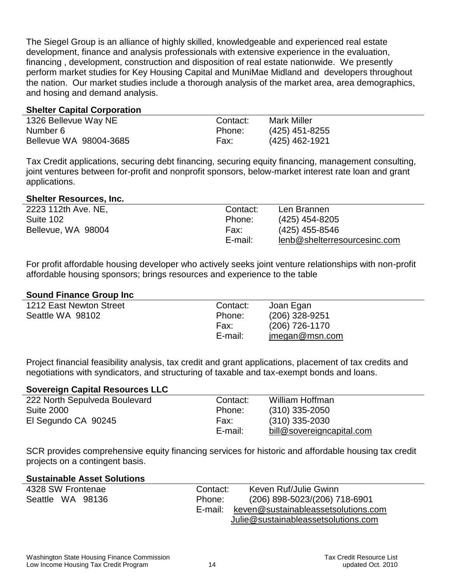The Siegel Group is an alliance of highly skilled, knowledgeable and experienced real estate development, finance and analysis professionals with extensive experience in the evaluation, financing , development, construction and disposition of real estate nationwide. We presently perform market studies for Key Housing Capital and MuniMae Midland and developers throughout the nation. Our market studies include a thorough analysis of the market area, area demographics, and hosing and demand analysis.

### **Shelter Capital Corporation**

| 1326 Bellevue Way NE   | Contact: | <b>Mark Miller</b> |
|------------------------|----------|--------------------|
| Number 6               | Phone:   | $(425)$ 451-8255   |
| Bellevue WA 98004-3685 | Fax:     | (425) 462-1921     |

Tax Credit applications, securing debt financing, securing equity financing, management consulting, joint ventures between for-profit and nonprofit sponsors, below-market interest rate loan and grant applications.

#### **Shelter Resources, Inc.**

| 2223 112th Ave. NE, | Contact: | Len Brannen                  |
|---------------------|----------|------------------------------|
| Suite 102           | Phone:   | (425) 454-8205               |
| Bellevue, WA 98004  | Fax:     | (425) 455-8546               |
|                     | E-mail:  | lenb@shelterresourcesinc.com |

For profit affordable housing developer who actively seeks joint venture relationships with non-profit affordable housing sponsors; brings resources and experience to the table

## **Sound Finance Group Inc**

| 1212 East Newton Street | Contact: | Joan Egan      |
|-------------------------|----------|----------------|
| Seattle WA 98102        | Phone:   | (206) 328-9251 |
|                         | Fax:     | (206) 726-1170 |
|                         | E-mail:  | imegan@msn.com |
|                         |          |                |

Project financial feasibility analysis, tax credit and grant applications, placement of tax credits and negotiations with syndicators, and structuring of taxable and tax-exempt bonds and loans.

#### **Sovereign Capital Resources LLC**

| 222 North Sepulveda Boulevard | Contact: | William Hoffman           |
|-------------------------------|----------|---------------------------|
| <b>Suite 2000</b>             | Phone:   | $(310)$ 335-2050          |
| El Segundo CA 90245           | Fax:     | $(310)$ 335-2030          |
|                               | E-mail:  | bill@sovereigncapital.com |

SCR provides comprehensive equity financing services for historic and affordable housing tax credit projects on a contingent basis.

#### **Sustainable Asset Solutions**

| 4328 SW Frontenae | Contact: | Keven Ruf/Julie Gwinn               |
|-------------------|----------|-------------------------------------|
| Seattle WA 98136  | Phone:   | (206) 898-5023/(206) 718-6901       |
|                   | E-mail:  | keven@sustainableassetsolutions.com |
|                   |          | Julie@sustainableassetsolutions.com |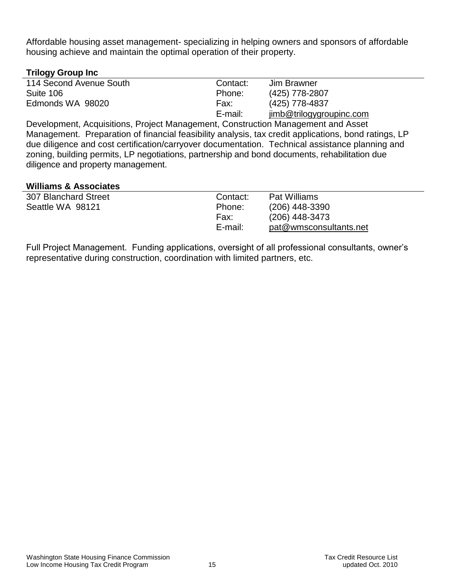Affordable housing asset management- specializing in helping owners and sponsors of affordable housing achieve and maintain the optimal operation of their property.

## **Trilogy Group Inc**

| --                      |          |                          |  |
|-------------------------|----------|--------------------------|--|
| 114 Second Avenue South | Contact: | Jim Brawner              |  |
| Suite 106               | Phone:   | (425) 778-2807           |  |
| Edmonds WA 98020        | Fax:     | (425) 778-4837           |  |
|                         | E-mail:  | jimb@trilogygroupinc.com |  |
|                         |          |                          |  |

Development, Acquisitions, Project Management, Construction Management and Asset Management. Preparation of financial feasibility analysis, tax credit applications, bond ratings, LP due diligence and cost certification/carryover documentation. Technical assistance planning and zoning, building permits, LP negotiations, partnership and bond documents, rehabilitation due diligence and property management.

#### **Williams & Associates**

| 307 Blanchard Street | Contact:        | <b>Pat Williams</b>                        |
|----------------------|-----------------|--------------------------------------------|
| Seattle WA 98121     | Phone:          | $(206)$ 448-3390                           |
|                      | Fax:<br>E-mail: | $(206)$ 448-3473<br>pat@wmsconsultants.net |

Full Project Management. Funding applications, oversight of all professional consultants, owner's representative during construction, coordination with limited partners, etc.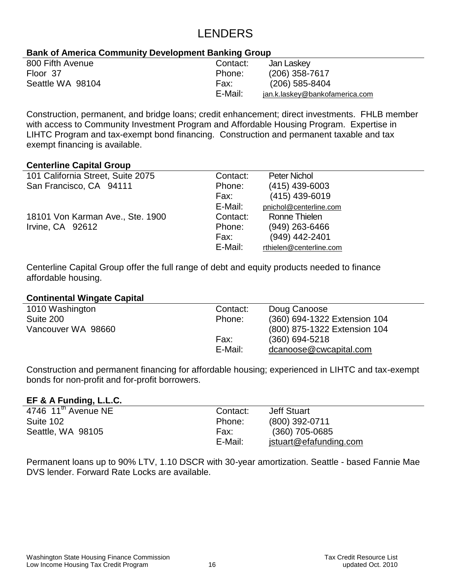# LENDERS

## **Bank of America Community Development Banking Group**

| 800 Fifth Avenue | Contact: | Jan Laskey                     |
|------------------|----------|--------------------------------|
| Floor 37         | Phone:   | $(206)$ 358-7617               |
| Seattle WA 98104 | Fax:     | $(206)$ 585-8404               |
|                  | E-Mail:  | jan.k.laskey@bankofamerica.com |

Construction, permanent, and bridge loans; credit enhancement; direct investments. FHLB member with access to Community Investment Program and Affordable Housing Program. Expertise in LIHTC Program and tax-exempt bond financing. Construction and permanent taxable and tax exempt financing is available.

## **Centerline Capital Group**

| 101 California Street, Suite 2075 | Contact: | <b>Peter Nichol</b>     |
|-----------------------------------|----------|-------------------------|
| San Francisco, CA 94111           | Phone:   | $(415)$ 439-6003        |
|                                   | Fax:     | $(415)$ 439-6019        |
|                                   | E-Mail:  | pnichol@centerline.com  |
| 18101 Von Karman Ave., Ste. 1900  | Contact: | Ronne Thielen           |
| Irvine, CA 92612                  | Phone:   | $(949)$ 263-6466        |
|                                   | Fax:     | (949) 442-2401          |
|                                   | E-Mail:  | rthielen@centerline.com |

Centerline Capital Group offer the full range of debt and equity products needed to finance affordable housing.

## **Continental Wingate Capital**

| 1010 Washington    | Contact: | Doug Canoose                 |
|--------------------|----------|------------------------------|
| Suite 200          | Phone:   | (360) 694-1322 Extension 104 |
| Vancouver WA 98660 |          | (800) 875-1322 Extension 104 |
|                    | Fax:     | $(360) 694 - 5218$           |
|                    | E-Mail:  | dcanoose@cwcapital.com       |
|                    |          |                              |

Construction and permanent financing for affordable housing; experienced in LIHTC and tax-exempt bonds for non-profit and for-profit borrowers.

## **EF & A Funding, L.L.C.**

| 4746 $11th$ Avenue NE | Contact: | <b>Jeff Stuart</b>     |
|-----------------------|----------|------------------------|
| Suite 102             | Phone:   | (800) 392-0711         |
| Seattle, WA 98105     | Fax:     | $(360)$ 705-0685       |
|                       | E-Mail:  | jstuart@efafunding.com |

Permanent loans up to 90% LTV, 1.10 DSCR with 30-year amortization. Seattle - based Fannie Mae DVS lender. Forward Rate Locks are available.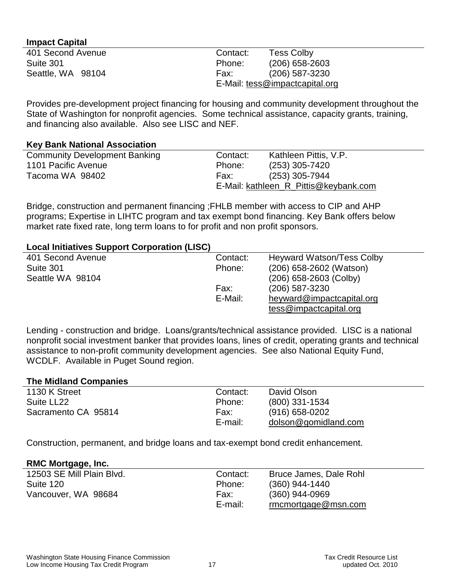#### **Impact Capital**

| 401 Second Avenue | Contact: | <b>Tess Colby</b>              |
|-------------------|----------|--------------------------------|
| Suite 301         | Phone:   | $(206)$ 658-2603               |
| Seattle, WA 98104 | Fax:     | $(206)$ 587-3230               |
|                   |          | E-Mail: tess@impactcapital.org |

Provides pre-development project financing for housing and community development throughout the State of Washington for nonprofit agencies. Some technical assistance, capacity grants, training, and financing also available. Also see LISC and NEF.

#### **Key Bank National Association**

| <b>Community Development Banking</b> | Contact:                              | Kathleen Pittis, V.P. |
|--------------------------------------|---------------------------------------|-----------------------|
| 1101 Pacific Avenue                  | Phone:                                | $(253)$ 305-7420      |
| Tacoma WA 98402                      | Fax:                                  | (253) 305-7944        |
|                                      | E-Mail: kathleen R Pittis@keybank.com |                       |

Bridge, construction and permanent financing ;FHLB member with access to CIP and AHP programs; Expertise in LIHTC program and tax exempt bond financing. Key Bank offers below market rate fixed rate, long term loans to for profit and non profit sponsors.

## **Local Initiatives Support Corporation (LISC)**

| 401 Second Avenue | Contact: | <b>Heyward Watson/Tess Colby</b> |
|-------------------|----------|----------------------------------|
| Suite 301         | Phone:   | (206) 658-2602 (Watson)          |
| Seattle WA 98104  |          | $(206)$ 658-2603 (Colby)         |
|                   | Fax:     | $(206)$ 587-3230                 |
|                   | E-Mail:  | heyward@impactcapital.org        |
|                   |          | tess@impatch.                    |

Lending - construction and bridge. Loans/grants/technical assistance provided. LISC is a national nonprofit social investment banker that provides loans, lines of credit, operating grants and technical assistance to non-profit community development agencies. See also National Equity Fund, WCDLF. Available in Puget Sound region.

#### **The Midland Companies**

| Contact: | David Olson          |  |
|----------|----------------------|--|
| Phone:   | $(800)$ 331-1534     |  |
| Fax:     | $(916) 658 - 0202$   |  |
| E-mail:  | dolson@gomidland.com |  |
|          |                      |  |

Construction, permanent, and bridge loans and tax-exempt bond credit enhancement.

#### **RMC Mortgage, Inc.**

| 12503 SE Mill Plain Blvd. | Contact: | Bruce James, Dale Rohl |
|---------------------------|----------|------------------------|
| Suite 120                 | Phone:   | $(360)$ 944-1440       |
| Vancouver, WA 98684       | Fax:     | $(360)$ 944-0969       |
|                           | E-mail:  | rmcmortgage@msn.com    |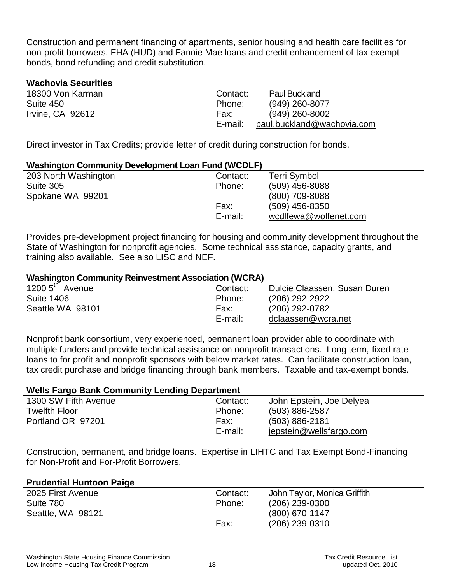Construction and permanent financing of apartments, senior housing and health care facilities for non-profit borrowers. FHA (HUD) and Fannie Mae loans and credit enhancement of tax exempt bonds, bond refunding and credit substitution.

## **Wachovia Securities**

| 18300 Von Karman | Contact: | <b>Paul Buckland</b>       |
|------------------|----------|----------------------------|
| Suite 450        | Phone:   | $(949)$ 260-8077           |
| Irvine, CA 92612 | Fax:     | $(949)$ 260-8002           |
|                  | E-mail:  | paul.buckland@wachovia.com |

Direct investor in Tax Credits; provide letter of credit during construction for bonds.

#### **Washington Community Development Loan Fund (WCDLF)**

| 203 North Washington | Contact: | Terri Symbol          |  |
|----------------------|----------|-----------------------|--|
| Suite 305            | Phone:   | $(509)$ 456-8088      |  |
| Spokane WA 99201     |          | $(800)$ 709-8088      |  |
|                      | Fax:     | $(509)$ 456-8350      |  |
|                      | E-mail:  | wcdlfewa@wolfenet.com |  |
|                      |          |                       |  |

Provides pre-development project financing for housing and community development throughout the State of Washington for nonprofit agencies. Some technical assistance, capacity grants, and training also available. See also LISC and NEF.

#### **Washington Community Reinvestment Association (WCRA)**

| 1200 $5^{\text{th}}$ Avenue | Contact: | Dulcie Claassen, Susan Duren |
|-----------------------------|----------|------------------------------|
| <b>Suite 1406</b>           | Phone:   | (206) 292-2922               |
| Seattle WA 98101            | Fax:     | (206) 292-0782               |
|                             | E-mail:  | dclaassen@wcra.net           |
|                             |          |                              |

Nonprofit bank consortium, very experienced, permanent loan provider able to coordinate with multiple funders and provide technical assistance on nonprofit transactions. Long term, fixed rate loans to for profit and nonprofit sponsors with below market rates. Can facilitate construction loan, tax credit purchase and bridge financing through bank members. Taxable and tax-exempt bonds.

## **Wells Fargo Bank Community Lending Department**

| 1300 SW Fifth Avenue | Contact: | John Epstein, Joe Delyea |
|----------------------|----------|--------------------------|
| <b>Twelfth Floor</b> | Phone:   | $(503) 886 - 2587$       |
| Portland OR 97201    | Fax:     | $(503) 886 - 2181$       |
|                      | E-mail:  | jepstein@wellsfargo.com  |

Construction, permanent, and bridge loans. Expertise in LIHTC and Tax Exempt Bond-Financing for Non-Profit and For-Profit Borrowers.

#### **Prudential Huntoon Paige**

| 2025 First Avenue | Contact: | John Taylor, Monica Griffith |
|-------------------|----------|------------------------------|
| Suite 780         | Phone:   | $(206)$ 239-0300             |
| Seattle, WA 98121 |          | $(800)$ 670-1147             |
|                   | Fax:     | $(206)$ 239-0310             |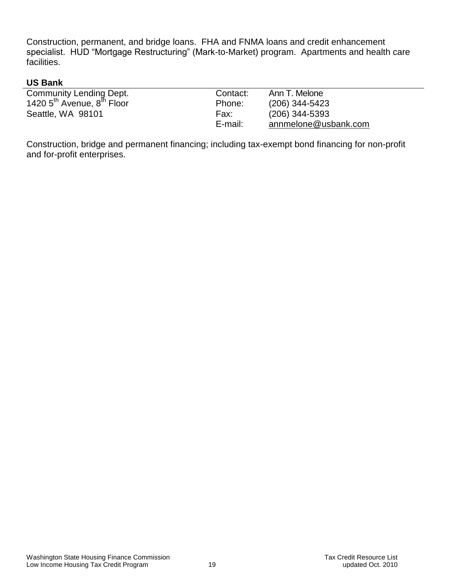Construction, permanent, and bridge loans. FHA and FNMA loans and credit enhancement specialist. HUD "Mortgage Restructuring" (Mark-to-Market) program. Apartments and health care facilities.

# **US Bank**

| <b>Community Lending Dept.</b>                     | Contact: | Ann T. Melone        |
|----------------------------------------------------|----------|----------------------|
| 1420 5 <sup>th</sup> Avenue, 8 <sup>th</sup> Floor | Phone:   | $(206)$ 344-5423     |
| Seattle, WA 98101                                  | Fax:     | $(206)$ 344-5393     |
|                                                    | E-mail:  | annmelone@usbank.com |

Construction, bridge and permanent financing; including tax-exempt bond financing for non-profit and for-profit enterprises.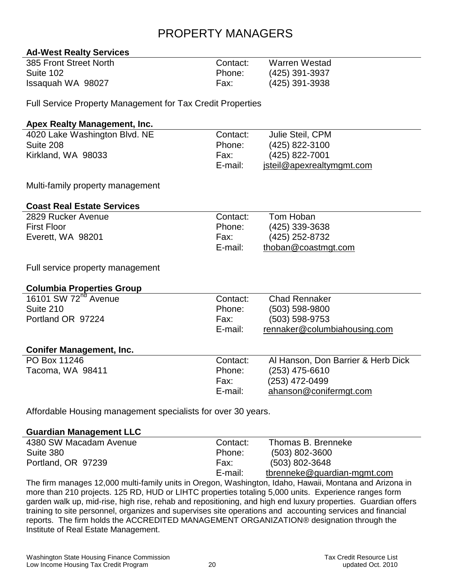# PROPERTY MANAGERS

## **Ad-West Realty Services**

| 385 Front Street North | Contact: | <b>Warren Westad</b> |
|------------------------|----------|----------------------|
| Suite 102              | Phone:   | (425) 391-3937       |
| Issaguah WA 98027      | Fax:     | (425) 391-3938       |

Full Service Property Management for Tax Credit Properties

## **Apex Realty Management, Inc.**

| 4020 Lake Washington Blvd. NE | Contact: | Julie Steil, CPM          |
|-------------------------------|----------|---------------------------|
| Suite 208                     | Phone:   | (425) 822-3100            |
| Kirkland, WA 98033            | Fax:     | $(425)$ 822-7001          |
|                               | E-mail:  | jsteil@apexrealtymgmt.com |

Multi-family property management

## **Coast Real Estate Services**

| 2829 Rucker Avenue | Contact: | Tom Hoban           |
|--------------------|----------|---------------------|
| <b>First Floor</b> | Phone:   | $(425)$ 339-3638    |
| Everett, WA 98201  | Fax:     | (425) 252-8732      |
|                    | E-mail:  | thoban@coastmgt.com |

Full service property management

## **Columbia Properties Group**

| 16101 SW 72 <sup>nd</sup> Avenue | Contact: | <b>Chad Rennaker</b>               |
|----------------------------------|----------|------------------------------------|
| Suite 210                        | Phone:   | (503) 598-9800                     |
| Portland OR 97224                | Fax:     | (503) 598-9753                     |
|                                  | E-mail:  | rennaker@columbiahousing.com       |
|                                  |          |                                    |
| <b>Conifer Management, Inc.</b>  |          |                                    |
| PO Box 11246                     | Contact: | Al Hanson, Don Barrier & Herb Dick |
| Tacoma, WA 98411                 | Phone:   | (253) 475-6610                     |
|                                  | Fax:     | (253) 472-0499                     |
|                                  | E-mail:  | ahanson@conifermgt.com             |
|                                  |          |                                    |

Affordable Housing management specialists for over 30 years.

#### **Guardian Management LLC**

| 4380 SW Macadam Avenue | Contact: | Thomas B. Brenneke          |
|------------------------|----------|-----------------------------|
| Suite 380              | Phone:   | $(503) 802 - 3600$          |
| Portland, OR 97239     | Fax:     | $(503) 802 - 3648$          |
|                        | E-mail:  | tbrenneke@guardian-mgmt.com |

The firm manages 12,000 multi-family units in Oregon, Washington, Idaho, Hawaii, Montana and Arizona in more than 210 projects. 125 RD, HUD or LIHTC properties totaling 5,000 units. Experience ranges form garden walk up, mid-rise, high rise, rehab and repositioning, and high end luxury properties. Guardian offers training to site personnel, organizes and supervises site operations and accounting services and financial reports. The firm holds the ACCREDITED MANAGEMENT ORGANIZATION® designation through the Institute of Real Estate Management.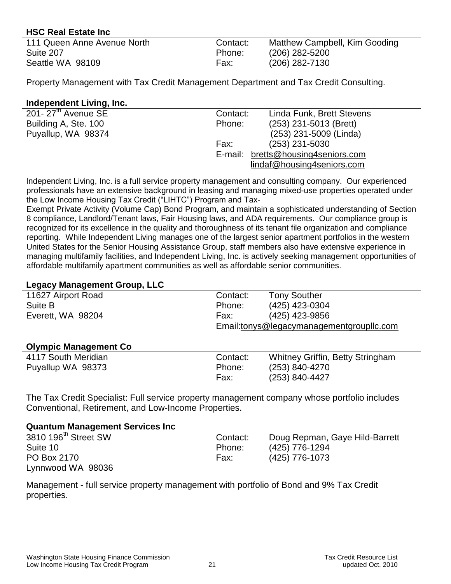## **HSC Real Estate Inc**

| 111 Queen Anne Avenue North | Contact: | Matthew Campbell, Kim Gooding |
|-----------------------------|----------|-------------------------------|
| Suite 207                   | Phone:   | $(206)$ 282-5200              |
| Seattle WA 98109            | Fax:     | $(206)$ 282-7130              |

Property Management with Tax Credit Management Department and Tax Credit Consulting.

## **Independent Living, Inc.**

| 201- $27th$ Avenue SE | Contact: | Linda Funk, Brett Stevens          |
|-----------------------|----------|------------------------------------|
| Building A, Ste. 100  | Phone:   | (253) 231-5013 (Brett)             |
| Puyallup, WA 98374    |          | (253) 231-5009 (Linda)             |
|                       | Fax:     | $(253)$ 231-5030                   |
|                       |          | E-mail: bretts@housing4seniors.com |
|                       |          | lindaf@housing4seniors.com         |
|                       |          |                                    |

Independent Living, Inc. is a full service property management and consulting company. Our experienced professionals have an extensive background in leasing and managing mixed-use properties operated under the Low Income Housing Tax Credit ("LIHTC") Program and Tax-

Exempt Private Activity (Volume Cap) Bond Program, and maintain a sophisticated understanding of Section 8 compliance, Landlord/Tenant laws, Fair Housing laws, and ADA requirements. Our compliance group is recognized for its excellence in the quality and thoroughness of its tenant file organization and compliance reporting. While Independent Living manages one of the largest senior apartment portfolios in the western United States for the Senior Housing Assistance Group, staff members also have extensive experience in managing multifamily facilities, and Independent Living, Inc. is actively seeking management opportunities of affordable multifamily apartment communities as well as affordable senior communities.

## **Legacy Management Group, LLC**

| . .                          |          |                                          |
|------------------------------|----------|------------------------------------------|
| 11627 Airport Road           | Contact: | <b>Tony Souther</b>                      |
| Suite B                      | Phone:   | (425) 423-0304                           |
| Everett, WA 98204            | Fax:     | (425) 423-9856                           |
|                              |          | Email:tonys@legacymanagementgroupllc.com |
|                              |          |                                          |
| <b>Olympic Management Co</b> |          |                                          |
| 4117 South Meridian          | Contact: | Whitney Griffin, Betty Stringham         |
| Puyallup WA 98373            | Phone:   | (253) 840-4270                           |
|                              | Fax:     | (253) 840-4427                           |
|                              |          |                                          |

The Tax Credit Specialist: Full service property management company whose portfolio includes Conventional, Retirement, and Low-Income Properties.

## **Quantum Management Services Inc**

| 3810 196 <sup>th</sup> Street SW | Contact: | Doug Repman, Gaye Hild-Barrett |
|----------------------------------|----------|--------------------------------|
| Suite 10                         | Phone:   | (425) 776-1294                 |
| PO Box 2170                      | Fax:     | (425) 776-1073                 |
| Lynnwood WA 98036                |          |                                |

Management - full service property management with portfolio of Bond and 9% Tax Credit properties.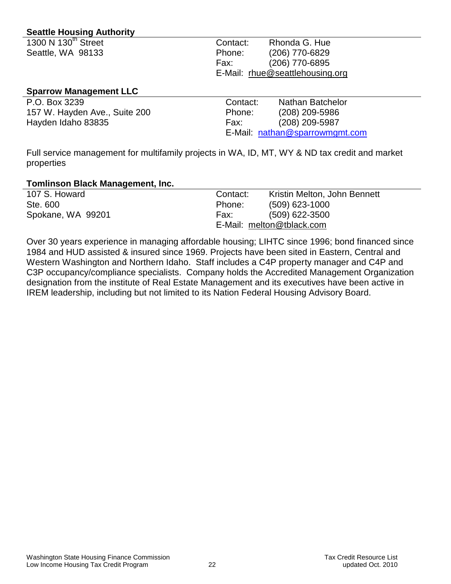## **Seattle Housing Authority**

| 1300 N 130 <sup>th</sup> Street | Contact: | Rhonda G. Hue                   |
|---------------------------------|----------|---------------------------------|
| Seattle, WA 98133               | Phone:   | (206) 770-6829                  |
|                                 | Fax:     | (206) 770-6895                  |
|                                 |          | E-Mail: rhue@seattlehousing.org |
|                                 |          |                                 |

### **Sparrow Management LLC**

| P.O. Box 3239                 | Contact: | <b>Nathan Batchelor</b>        |
|-------------------------------|----------|--------------------------------|
| 157 W. Hayden Ave., Suite 200 | Phone:   | (208) 209-5986                 |
| Hayden Idaho 83835            | Fax:     | (208) 209-5987                 |
|                               |          | E-Mail: nathan@sparrowmgmt.com |

Full service management for multifamily projects in WA, ID, MT, WY & ND tax credit and market properties

#### **Tomlinson Black Management, Inc.**

| 107 S. Howard     | Contact: | Kristin Melton, John Bennett |
|-------------------|----------|------------------------------|
| Ste. 600          | Phone:   | $(509)$ 623-1000             |
| Spokane, WA 99201 | Fax:     | $(509)$ 622-3500             |
|                   |          | E-Mail: melton@tblack.com    |

Over 30 years experience in managing affordable housing; LIHTC since 1996; bond financed since 1984 and HUD assisted & insured since 1969. Projects have been sited in Eastern, Central and Western Washington and Northern Idaho. Staff includes a C4P property manager and C4P and C3P occupancy/compliance specialists. Company holds the Accredited Management Organization designation from the institute of Real Estate Management and its executives have been active in IREM leadership, including but not limited to its Nation Federal Housing Advisory Board.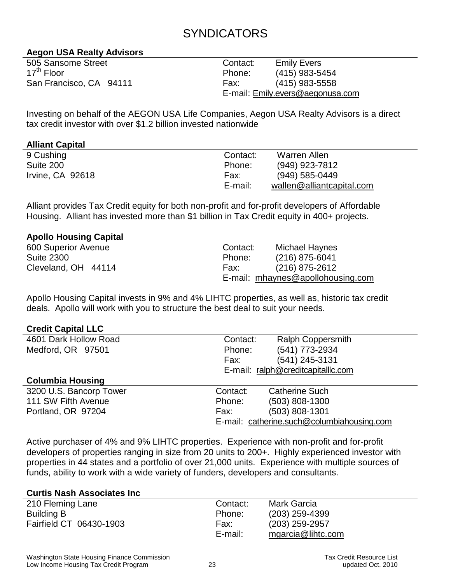# **SYNDICATORS**

## **Aegon USA Realty Advisors**

| 505 Sansome Street      | Contac    |
|-------------------------|-----------|
| 17 <sup>th</sup> Floor  | Phone:    |
| San Francisco, CA 94111 | Fax:      |
|                         | $E$ moil: |

t: Emily Evers (415) 983-5454 (415) 983-5558 E-mail: [Emily.evers@aegonusa.com](mailto:Emily.evers@aegonusa.com) 

Investing on behalf of the AEGON USA Life Companies, Aegon USA Realty Advisors is a direct tax credit investor with over \$1.2 billion invested nationwide

## **Alliant Capital**

| 9 Cushing        | Contact: | Warren Allen              |
|------------------|----------|---------------------------|
| Suite 200        | Phone:   | (949) 923-7812            |
| Irvine, CA 92618 | Fax:     | $(949) 585 - 0449$        |
|                  | E-mail:  | wallen@alliantcapital.com |

Alliant provides Tax Credit equity for both non-profit and for-profit developers of Affordable Housing. Alliant has invested more than \$1 billion in Tax Credit equity in 400+ projects.

## **Apollo Housing Capital**

| 600 Superior Avenue | Contact: | Michael Haynes                    |
|---------------------|----------|-----------------------------------|
| Suite 2300          | Phone:   | $(216)$ 875-6041                  |
| Cleveland, OH 44114 | Fax:     | (216) 875-2612                    |
|                     |          | E-mail: mhaynes@apollohousing.com |

Apollo Housing Capital invests in 9% and 4% LIHTC properties, as well as, historic tax credit deals. Apollo will work with you to structure the best deal to suit your needs.

#### **Credit Capital LLC**

| 4601 Dark Hollow Road   | Contact: | <b>Ralph Coppersmith</b>                   |
|-------------------------|----------|--------------------------------------------|
| Medford, OR 97501       | Phone:   | (541) 773-2934                             |
|                         | Fax:     | (541) 245-3131                             |
|                         |          | E-mail: ralph@creditcapitalllc.com         |
| <b>Columbia Housing</b> |          |                                            |
| 3200 U.S. Bancorp Tower | Contact: | <b>Catherine Such</b>                      |
| 111 SW Fifth Avenue     | Phone:   | $(503)$ 808-1300                           |
| Portland, OR 97204      | Fax:     | (503) 808-1301                             |
|                         |          | E-mail: catherine.such@columbiahousing.com |

Active purchaser of 4% and 9% LIHTC properties. Experience with non-profit and for-profit developers of properties ranging in size from 20 units to 200+. Highly experienced investor with properties in 44 states and a portfolio of over 21,000 units. Experience with multiple sources of funds, ability to work with a wide variety of funders, developers and consultants.

#### **Curtis Nash Associates Inc**

| 210 Fleming Lane        | Contact: | <b>Mark Garcia</b> |
|-------------------------|----------|--------------------|
| Building B              | Phone:   | $(203)$ 259-4399   |
| Fairfield CT 06430-1903 | Fax:     | (203) 259-2957     |
|                         | E-mail:  | mgarcia@lihtc.com  |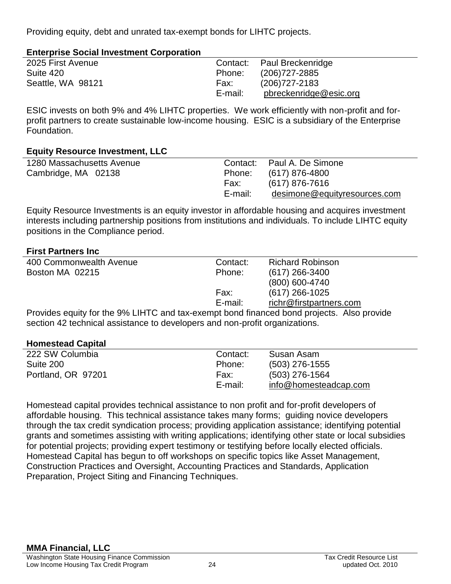Providing equity, debt and unrated tax-exempt bonds for LIHTC projects.

| <b>Enterprise Social Investment Corporation</b> |  |
|-------------------------------------------------|--|
|-------------------------------------------------|--|

| 2025 First Avenue |         | Contact: Paul Breckenridge |
|-------------------|---------|----------------------------|
| Suite 420         | Phone:  | (206)727-2885              |
| Seattle, WA 98121 | Fax:    | (206)727-2183              |
|                   | E-mail: | pbreckenridge@esic.org     |

ESIC invests on both 9% and 4% LIHTC properties. We work efficiently with non-profit and forprofit partners to create sustainable low-income housing. ESIC is a subsidiary of the Enterprise Foundation.

## **Equity Resource Investment, LLC**

| 1280 Massachusetts Avenue | Contact: | Paul A. De Simone            |
|---------------------------|----------|------------------------------|
| Cambridge, MA 02138       | Phone:   | (617) 876-4800               |
|                           | Fax:     | (617) 876-7616               |
|                           | E-mail:  | desimone@equityresources.com |
|                           |          |                              |

Equity Resource Investments is an equity investor in affordable housing and acquires investment interests including partnership positions from institutions and individuals. To include LIHTC equity positions in the Compliance period.

## **First Partners Inc**

| 400 Commonwealth Avenue                                                                   | Contact: | <b>Richard Robinson</b> |
|-------------------------------------------------------------------------------------------|----------|-------------------------|
| Boston MA 02215                                                                           | Phone:   | $(617)$ 266-3400        |
|                                                                                           |          | (800) 600-4740          |
|                                                                                           | Fax:     | $(617)$ 266-1025        |
|                                                                                           | E-mail:  | richr@firstpartners.com |
| Provides equity for the 9% LIHTC and tax-exempt bond financed bond projects. Also provide |          |                         |
| section 42 technical assistance to developers and non-profit organizations.               |          |                         |

## **Homestead Capital**

| 222 SW Columbia    | Contact: | Susan Asam            |
|--------------------|----------|-----------------------|
| Suite 200          | Phone:   | $(503)$ 276-1555      |
| Portland, OR 97201 | Fax:     | (503) 276-1564        |
|                    | E-mail:  | info@homesteadcap.com |

Homestead capital provides technical assistance to non profit and for-profit developers of affordable housing. This technical assistance takes many forms; guiding novice developers through the tax credit syndication process; providing application assistance; identifying potential grants and sometimes assisting with writing applications; identifying other state or local subsidies for potential projects; providing expert testimony or testifying before locally elected officials. Homestead Capital has begun to off workshops on specific topics like Asset Management, Construction Practices and Oversight, Accounting Practices and Standards, Application Preparation, Project Siting and Financing Techniques.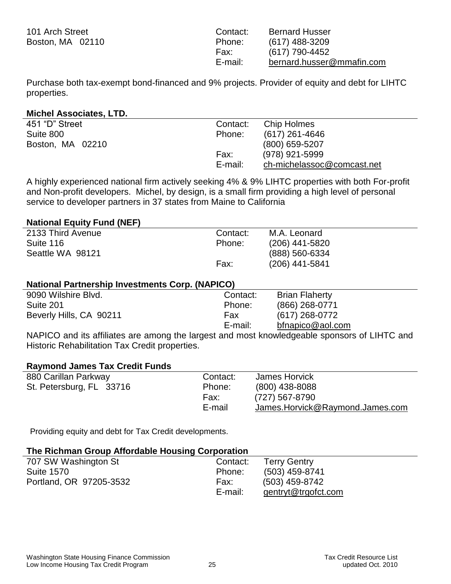| 101 Arch Street  | Contact: | <b>Bernard Husser</b>     |
|------------------|----------|---------------------------|
| Boston, MA 02110 | Phone:   | $(617)$ 488-3209          |
|                  | Fax:     | (617) 790-4452            |
|                  | E-mail:  | bernard.husser@mmafin.com |

Purchase both tax-exempt bond-financed and 9% projects. Provider of equity and debt for LIHTC properties.

#### **Michel Associates, LTD.**

| 451 "D" Street   | Contact: | Chip Holmes                |
|------------------|----------|----------------------------|
| Suite 800        | Phone:   | (617) 261-4646             |
| Boston, MA 02210 |          | $(800)$ 659-5207           |
|                  | Fax:     | (978) 921-5999             |
|                  | E-mail:  | ch-michelassoc@comcast.net |

A highly experienced national firm actively seeking 4% & 9% LIHTC properties with both For-profit and Non-profit developers. Michel, by design, is a small firm providing a high level of personal service to developer partners in 37 states from Maine to California

#### **National Equity Fund (NEF)**

| 2133 Third Avenue | Contact: | M.A. Leonard     |
|-------------------|----------|------------------|
| Suite 116         | Phone:   | $(206)$ 441-5820 |
| Seattle WA 98121  |          | (888) 560-6334   |
|                   | Fax:     | $(206)$ 441-5841 |

#### **National Partnership Investments Corp. (NAPICO)**

| 9090 Wilshire Blvd.     | Contact: | <b>Brian Flaherty</b> |
|-------------------------|----------|-----------------------|
| Suite 201               | Phone:   | $(866)$ 268-0771      |
| Beverly Hills, CA 90211 | Fax      | (617) 268-0772        |
|                         | E-mail:  | bfnapico@aol.com      |

NAPICO and its affiliates are among the largest and most knowledgeable sponsors of LIHTC and Historic Rehabilitation Tax Credit properties.

#### **Raymond James Tax Credit Funds**

| 880 Carillan Parkway     | Contact: | James Horvick                   |
|--------------------------|----------|---------------------------------|
| St. Petersburg, FL 33716 | Phone:   | $(800)$ 438-8088                |
|                          | Fax:     | (727) 567-8790                  |
|                          | E-mail   | James.Horvick@Raymond.James.com |

Providing equity and debt for Tax Credit developments.

| The Richman Group Affordable Housing Corporation |          |                     |  |
|--------------------------------------------------|----------|---------------------|--|
| 707 SW Washington St                             | Contact: | <b>Terry Gentry</b> |  |
| <b>Suite 1570</b>                                | Phone:   | (503) 459-8741      |  |
| Portland, OR 97205-3532                          | Fax:     | (503) 459-8742      |  |
|                                                  | E-mail:  | gentryt@trgofct.com |  |